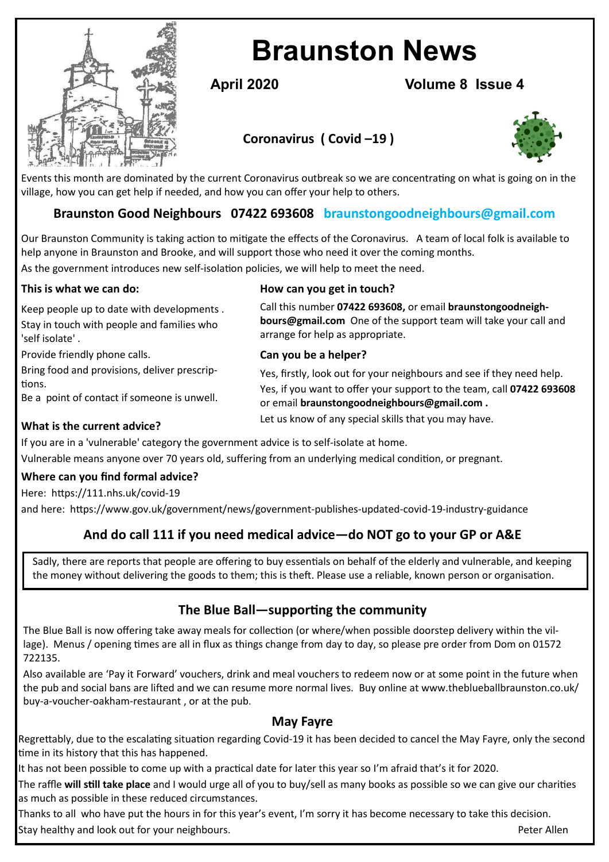

# **Braunston News**

**April 2020 Volume 8 Issue 4**

# **Coronavirus ( Covid –19 )**



Events this month are dominated by the current Coronavirus outbreak so we are concentrating on what is going on in the village, how you can get help if needed, and how you can offer your help to others.

# **Braunston Good Neighbours 07422 693608 braunstongoodneighbours@gmail.com**

Our Braunston Community is taking action to mitigate the effects of the Coronavirus. A team of local folk is available to help anyone in Braunston and Brooke, and will support those who need it over the coming months. As the government introduces new self-isolation policies, we will help to meet the need.

| This is what we can do:                                                                                   | How can you get in touch?                                                                                                                                                 |
|-----------------------------------------------------------------------------------------------------------|---------------------------------------------------------------------------------------------------------------------------------------------------------------------------|
| Keep people up to date with developments.<br>Stay in touch with people and families who<br>self isolate'. | Call this number 07422 693608, or email braunstongoodneigh-<br><b>bours@gmail.com</b> One of the support team will take your call and<br>arrange for help as appropriate. |
| Provide friendly phone calls.                                                                             | Can you be a helper?                                                                                                                                                      |

#### **Can you be a helper?**

Yes, firstly, look out for your neighbours and see if they need help. Yes, if you want to offer your support to the team, call **07422 693608**  or email **braunstongoodneighbours@gmail.com .** Let us know of any special skills that you may have.

#### **What is the current advice?**

tions.

If you are in a 'vulnerable' category the government advice is to self-isolate at home. Vulnerable means anyone over 70 years old, suffering from an underlying medical condition, or pregnant.

## **Where can you find formal advice?**

Bring food and provisions, deliver prescrip-

Be a point of contact if someone is unwell.

Here: https://111.nhs.uk/covid-19

and here: https://www.gov.uk/government/news/government-publishes-updated-covid-19-industry-guidance

# **And do call 111 if you need medical advice—do NOT go to your GP or A&E**

Sadly, there are reports that people are offering to buy essentials on behalf of the elderly and vulnerable, and keeping the money without delivering the goods to them; this is theft. Please use a reliable, known person or organisation.

## **The Blue Ball—supporting the community**

The Blue Ball is now offering take away meals for collection (or where/when possible doorstep delivery within the village). Menus / opening times are all in flux as things change from day to day, so please pre order from Dom on 01572 722135.

Also available are 'Pay it Forward' vouchers, drink and meal vouchers to redeem now or at some point in the future when the pub and social bans are lifted and we can resume more normal lives. Buy online at www.theblueballbraunston.co.uk/ buy-a-voucher-oakham-restaurant , or at the pub.

## **May Fayre**

Regrettably, due to the escalating situation regarding Covid-19 it has been decided to cancel the May Fayre, only the second time in its history that this has happened.

It has not been possible to come up with a practical date for later this year so I'm afraid that's it for 2020.

The raffle **will still take place** and I would urge all of you to buy/sell as many books as possible so we can give our charities as much as possible in these reduced circumstances.

Thanks to all who have put the hours in for this year's event, I'm sorry it has become necessary to take this decision. Stay healthy and look out for your neighbours. Peter Allen and the state of the state of the Peter Allen